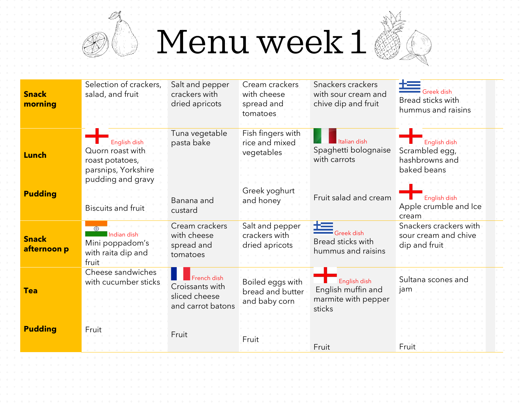Menu week 1

 $\mathbb{R}$ 

NE 1

(I

| <b>Snack</b><br>morning     | Selection of crackers,<br>salad, and fruit                                                      | Salt and pepper<br>crackers with<br>dried apricots                   | Cream crackers<br>with cheese<br>spread and<br>tomatoes            | Snackers crackers<br>with sour cream and<br>chive dip and fruit             | Greek dish<br>Bread sticks with<br>hummus and raisins           |
|-----------------------------|-------------------------------------------------------------------------------------------------|----------------------------------------------------------------------|--------------------------------------------------------------------|-----------------------------------------------------------------------------|-----------------------------------------------------------------|
| <b>Lunch</b>                | English dish<br>Quorn roast with<br>roast potatoes,<br>parsnips, Yorkshire<br>pudding and gravy | Tuna vegetable<br>pasta bake                                         | Fish fingers with<br>rice and mixed<br>vegetables<br>Greek yoghurt | Italian dish<br>Spaghetti bolognaise<br>with carrots                        | English dish<br>Scrambled egg,<br>hashbrowns and<br>baked beans |
| <b>Pudding</b>              | <b>Biscuits and fruit</b>                                                                       | Banana and<br>custard                                                | and honey                                                          | Fruit salad and cream                                                       | English dish<br>Apple crumble and Ice<br>cream                  |
| <b>Snack</b><br>afternoon p | $\circledcirc$<br>Indian dish<br>Mini poppadom's<br>with raita dip and<br>fruit                 | Cream crackers<br>with cheese<br>spread and<br>tomatoes              | Salt and pepper<br>crackers with<br>dried apricots                 | $\blacksquare$ Greek dish<br><b>Bread sticks with</b><br>hummus and raisins | Snackers crackers with<br>sour cream and chive<br>dip and fruit |
| <b>Tea</b>                  | Cheese sandwiches<br>with cucumber sticks                                                       | French dish<br>Croissants with<br>sliced cheese<br>and carrot batons | Boiled eggs with<br>bread and butter<br>and baby corn              | English dish<br>English muffin and<br>marmite with pepper<br>sticks         | Sultana scones and<br>jam                                       |
| <b>Pudding</b>              | Fruit                                                                                           | Fruit                                                                | Fruit                                                              | Fruit                                                                       | Fruit                                                           |
|                             |                                                                                                 |                                                                      |                                                                    |                                                                             |                                                                 |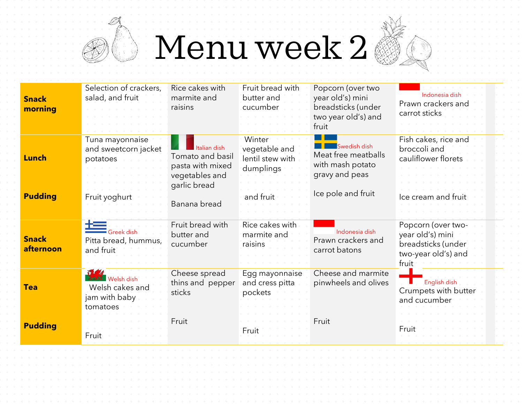## Menu week 2

en de la partida de la compa<br>Casa de la compa

| <b>Snack</b><br>morning        | Selection of crackers,<br>salad, and fruit                                                                                                                                                                                                                                                                                                                                                                                                              | Rice cakes with<br>marmite and<br>raisins                                                              | Fruit bread with<br>butter and<br>cucumber                            | Popcorn (over two<br>year old's) mini<br>breadsticks (under<br>two year old's) and<br>fruit     | Indonesia disk<br>Prawn crackers and<br>carrot sticks                                        |
|--------------------------------|---------------------------------------------------------------------------------------------------------------------------------------------------------------------------------------------------------------------------------------------------------------------------------------------------------------------------------------------------------------------------------------------------------------------------------------------------------|--------------------------------------------------------------------------------------------------------|-----------------------------------------------------------------------|-------------------------------------------------------------------------------------------------|----------------------------------------------------------------------------------------------|
| <b>Lunch</b><br><b>Pudding</b> | Tuna mayonnaise<br>and sweetcorn jacket<br>potatoes<br>Fruit yoghurt                                                                                                                                                                                                                                                                                                                                                                                    | Italian dish<br>Tomato and basil<br>pasta with mixed<br>vegetables and<br>garlic bread<br>Banana bread | Winter<br>vegetable and<br>lentil stew with<br>dumplings<br>and fruit | Swedish dish<br>Meat free meatballs<br>with mash potato<br>gravy and peas<br>Ice pole and fruit | Fish cakes, rice and<br>broccoli and<br>cauliflower florets<br>Ice cream and                 |
| <b>Snack</b><br>afternoon      | $\frac{1}{\sqrt{1-\frac{1}{2}}}\frac{1}{\sqrt{1-\frac{1}{2}}\sqrt{1-\frac{1}{2}}\sqrt{1-\frac{1}{2}}\sqrt{1-\frac{1}{2}}\sqrt{1-\frac{1}{2}}\sqrt{1-\frac{1}{2}}\sqrt{1-\frac{1}{2}}\sqrt{1-\frac{1}{2}}\sqrt{1-\frac{1}{2}}\sqrt{1-\frac{1}{2}}\sqrt{1-\frac{1}{2}}\sqrt{1-\frac{1}{2}}\sqrt{1-\frac{1}{2}}\sqrt{1-\frac{1}{2}}\sqrt{1-\frac{1}{2}}\sqrt{1-\frac{1}{2}}\sqrt{1-\frac{1}{2}}\sqrt{1-\frac{1}{2}}\$<br>Pitta bread, hummus,<br>and fruit | Fruit bread with<br>butter and<br>cucumber                                                             | Rice cakes with<br>marmite and<br>raisins                             | Indonesia dish<br>Prawn crackers and<br>carrot batons                                           | Popcorn (over two-<br>year old's) mini<br>breadsticks (under<br>two-year old's) and<br>fruit |
| <b>Tea</b>                     | Wide<br><b>Welsh dish</b><br>Welsh cakes and<br>jam with baby<br>tomatoes                                                                                                                                                                                                                                                                                                                                                                               | Cheese spread<br>thins and pepper<br>sticks                                                            | Egg mayonnaise<br>and cress pitta<br>pockets                          | Cheese and marmite<br>pinwheels and olives                                                      | English dish<br>Crumpets with butter<br>and cucumber                                         |
| <b>Pudding</b>                 | Fruit                                                                                                                                                                                                                                                                                                                                                                                                                                                   | Fruit                                                                                                  | Fruit                                                                 | Fruit                                                                                           | Fruit                                                                                        |
|                                |                                                                                                                                                                                                                                                                                                                                                                                                                                                         |                                                                                                        |                                                                       |                                                                                                 |                                                                                              |